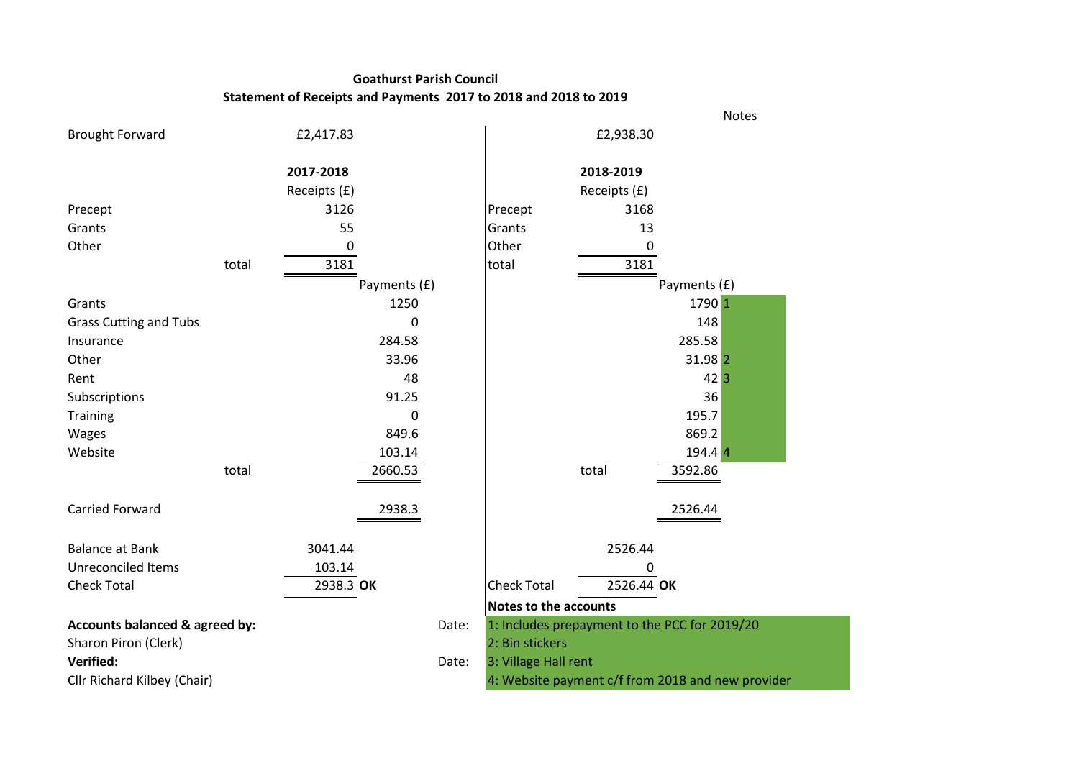## **Goathurst Parish Council Statement of Receipts and Payments 2017 to 2018 and 2018 to 2019**

|                                |       |              |       |                              |              | Notes                                             |
|--------------------------------|-------|--------------|-------|------------------------------|--------------|---------------------------------------------------|
| <b>Brought Forward</b>         |       | £2,417.83    |       |                              | £2,938.30    |                                                   |
|                                |       | 2017-2018    |       |                              | 2018-2019    |                                                   |
|                                |       | Receipts (£) |       |                              | Receipts (£) |                                                   |
| Precept                        |       | 3126         |       | Precept                      | 3168         |                                                   |
| Grants                         |       | 55           |       | Grants                       | 13           |                                                   |
| Other                          |       | 0            |       | Other                        | 0            |                                                   |
|                                | total | 3181         |       | total                        | 3181         |                                                   |
|                                |       | Payments (£) |       |                              |              | Payments (£)                                      |
| Grants                         |       | 1250         |       |                              |              | 1790 1                                            |
| <b>Grass Cutting and Tubs</b>  |       | 0            |       |                              |              | 148                                               |
| Insurance                      |       | 284.58       |       |                              |              | 285.58                                            |
| Other                          |       | 33.96        |       |                              |              | 31.98 2                                           |
| Rent                           |       | 48           |       |                              |              | $42\overline{3}$                                  |
| Subscriptions                  |       | 91.25        |       |                              |              | 36                                                |
| Training                       |       | 0            |       |                              |              | 195.7                                             |
| Wages                          |       | 849.6        |       |                              |              | 869.2                                             |
| Website                        |       | 103.14       |       |                              |              | 194.4 4                                           |
|                                | total | 2660.53      |       |                              | total        | 3592.86                                           |
| <b>Carried Forward</b>         |       | 2938.3       |       |                              |              | 2526.44                                           |
| <b>Balance at Bank</b>         |       | 3041.44      |       |                              | 2526.44      |                                                   |
| <b>Unreconciled Items</b>      |       | 103.14       |       |                              | 0            |                                                   |
| <b>Check Total</b>             |       | 2938.3 OK    |       | <b>Check Total</b>           | 2526.44 OK   |                                                   |
|                                |       |              |       | <b>Notes to the accounts</b> |              |                                                   |
| Accounts balanced & agreed by: |       |              | Date: |                              |              | 1: Includes prepayment to the PCC for 2019/20     |
| Sharon Piron (Clerk)           |       |              |       | 2: Bin stickers              |              |                                                   |
| Verified:                      |       |              | Date: | 3: Village Hall rent         |              |                                                   |
| Cllr Richard Kilbey (Chair)    |       |              |       |                              |              | 4: Website payment c/f from 2018 and new provider |
|                                |       |              |       |                              |              |                                                   |